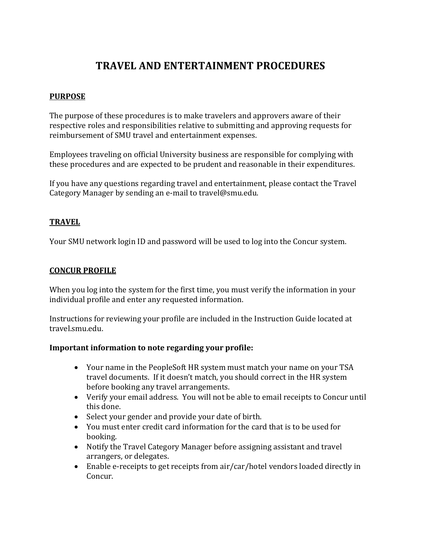# **TRAVEL AND ENTERTAINMENT PROCEDURES**

#### **PURPOSE**

The purpose of these procedures is to make travelers and approvers aware of their respective roles and responsibilities relative to submitting and approving requests for reimbursement of SMU travel and entertainment expenses.

Employees traveling on official University business are responsible for complying with these procedures and are expected to be prudent and reasonable in their expenditures.

If you have any questions regarding travel and entertainment, please contact the Travel Category Manager by sending an e-mail to travel@smu.edu.

#### **TRAVEL**

Your SMU network login ID and password will be used to log into the Concur system.

#### **CONCUR PROFILE**

When you log into the system for the first time, you must verify the information in your individual profile and enter any requested information.

Instructions for reviewing your profile are included in the Instruction Guide located at travel.smu.edu.

#### **Important information to note regarding your profile:**

- Your name in the PeopleSoft HR system must match your name on your TSA travel documents. If it doesn't match, you should correct in the HR system before booking any travel arrangements.
- Verify your email address. You will not be able to email receipts to Concur until this done.
- Select your gender and provide your date of birth.
- You must enter credit card information for the card that is to be used for booking.
- Notify the Travel Category Manager before assigning assistant and travel arrangers, or delegates.
- Enable e-receipts to get receipts from air/car/hotel vendors loaded directly in Concur.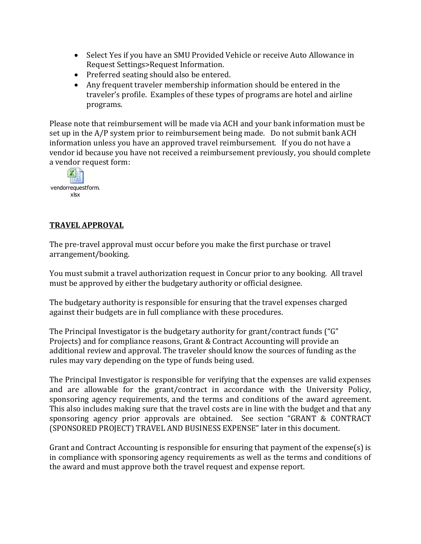- Select Yes if you have an SMU Provided Vehicle or receive Auto Allowance in Request Settings>Request Information.
- Preferred seating should also be entered.
- Any frequent traveler membership information should be entered in the traveler's profile. Examples of these types of programs are hotel and airline programs.

Please note that reimbursement will be made via ACH and your bank information must be set up in the A/P system prior to reimbursement being made. Do not submit bank ACH information unless you have an approved travel reimbursement. If you do not have a vendor id because you have not received a reimbursement previously, you should complete a vendor request form:



### **TRAVEL APPROVAL**

The pre-travel approval must occur before you make the first purchase or travel arrangement/booking.

You must submit a travel authorization request in Concur prior to any booking. All travel must be approved by either the budgetary authority or official designee.

The budgetary authority is responsible for ensuring that the travel expenses charged against their budgets are in full compliance with these procedures.

The Principal Investigator is the budgetary authority for grant/contract funds ("G" Projects) and for compliance reasons, Grant & Contract Accounting will provide an additional review and approval. The traveler should know the sources of funding as the rules may vary depending on the type of funds being used.

The Principal Investigator is responsible for verifying that the expenses are valid expenses and are allowable for the grant/contract in accordance with the University Policy, sponsoring agency requirements, and the terms and conditions of the award agreement. This also includes making sure that the travel costs are in line with the budget and that any sponsoring agency prior approvals are obtained. See section "GRANT & CONTRACT (SPONSORED PROJECT) TRAVEL AND BUSINESS EXPENSE" later in this document.

Grant and Contract Accounting is responsible for ensuring that payment of the expense(s) is in compliance with sponsoring agency requirements as well as the terms and conditions of the award and must approve both the travel request and expense report.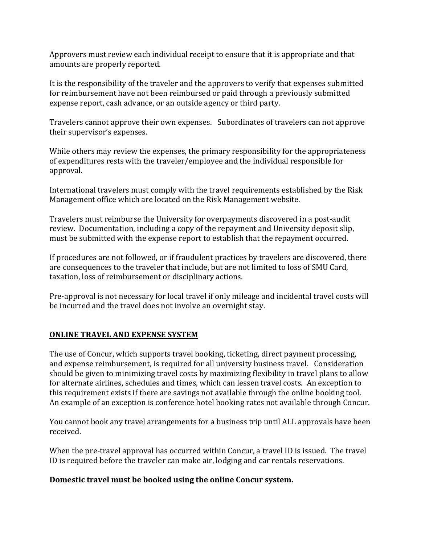Approvers must review each individual receipt to ensure that it is appropriate and that amounts are properly reported.

It is the responsibility of the traveler and the approvers to verify that expenses submitted for reimbursement have not been reimbursed or paid through a previously submitted expense report, cash advance, or an outside agency or third party.

Travelers cannot approve their own expenses. Subordinates of travelers can not approve their supervisor's expenses.

While others may review the expenses, the primary responsibility for the appropriateness of expenditures rests with the traveler/employee and the individual responsible for approval.

International travelers must comply with the travel requirements established by the Risk Management office which are located on the Risk Management website.

Travelers must reimburse the University for overpayments discovered in a post-audit review. Documentation, including a copy of the repayment and University deposit slip, must be submitted with the expense report to establish that the repayment occurred.

If procedures are not followed, or if fraudulent practices by travelers are discovered, there are consequences to the traveler that include, but are not limited to loss of SMU Card, taxation, loss of reimbursement or disciplinary actions.

Pre-approval is not necessary for local travel if only mileage and incidental travel costs will be incurred and the travel does not involve an overnight stay.

## **ONLINE TRAVEL AND EXPENSE SYSTEM**

The use of Concur, which supports travel booking, ticketing, direct payment processing, and expense reimbursement, is required for all university business travel. Consideration should be given to minimizing travel costs by maximizing flexibility in travel plans to allow for alternate airlines, schedules and times, which can lessen travel costs. An exception to this requirement exists if there are savings not available through the online booking tool. An example of an exception is conference hotel booking rates not available through Concur.

You cannot book any travel arrangements for a business trip until ALL approvals have been received.

When the pre-travel approval has occurred within Concur, a travel ID is issued. The travel ID is required before the traveler can make air, lodging and car rentals reservations.

#### **Domestic travel must be booked using the online Concur system.**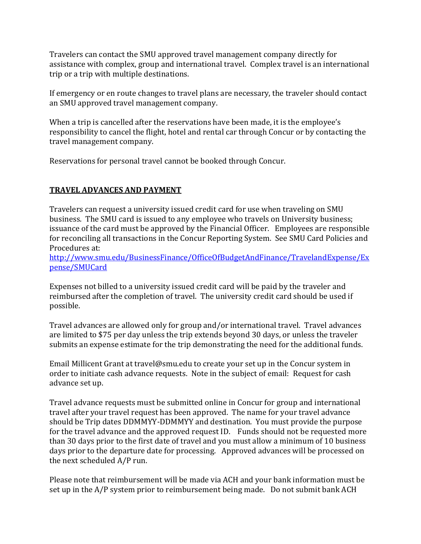Travelers can contact the SMU approved travel management company directly for assistance with complex, group and international travel. Complex travel is an international trip or a trip with multiple destinations.

If emergency or en route changes to travel plans are necessary, the traveler should contact an SMU approved travel management company.

When a trip is cancelled after the reservations have been made, it is the employee's responsibility to cancel the flight, hotel and rental car through Concur or by contacting the travel management company.

Reservations for personal travel cannot be booked through Concur.

## **TRAVEL ADVANCES AND PAYMENT**

Travelers can request a university issued credit card for use when traveling on SMU business. The SMU card is issued to any employee who travels on University business; issuance of the card must be approved by the Financial Officer. Employees are responsible for reconciling all transactions in the Concur Reporting System. See SMU Card Policies and Procedures at:

[http://www.smu.edu/BusinessFinance/OfficeOfBudgetAndFinance/TravelandExpense/Ex](http://www.smu.edu/BusinessFinance/OfficeOfBudgetAndFinance/TravelandExpense/Expense/SMUCard) [pense/SMUCard](http://www.smu.edu/BusinessFinance/OfficeOfBudgetAndFinance/TravelandExpense/Expense/SMUCard)

Expenses not billed to a university issued credit card will be paid by the traveler and reimbursed after the completion of travel. The university credit card should be used if possible.

Travel advances are allowed only for group and/or international travel. Travel advances are limited to \$75 per day unless the trip extends beyond 30 days, or unless the traveler submits an expense estimate for the trip demonstrating the need for the additional funds.

Email Millicent Grant at travel@smu.edu to create your set up in the Concur system in order to initiate cash advance requests. Note in the subject of email: Request for cash advance set up.

Travel advance requests must be submitted online in Concur for group and international travel after your travel request has been approved. The name for your travel advance should be Trip dates DDMMYY-DDMMYY and destination. You must provide the purpose for the travel advance and the approved request ID. Funds should not be requested more than 30 days prior to the first date of travel and you must allow a minimum of 10 business days prior to the departure date for processing. Approved advances will be processed on the next scheduled A/P run.

Please note that reimbursement will be made via ACH and your bank information must be set up in the A/P system prior to reimbursement being made. Do not submit bank ACH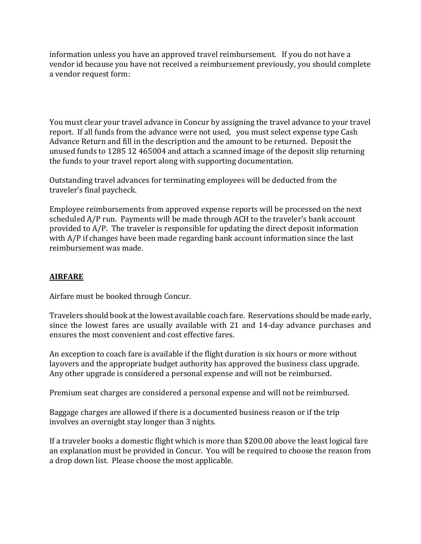information unless you have an approved travel reimbursement. If you do not have a vendor id because you have not received a reimbursement previously, you should complete a vendor request form:

You must clear your travel advance in Concur by assigning the travel advance to your travel report. If all funds from the advance were not used, you must select expense type Cash Advance Return and fill in the description and the amount to be returned. Deposit the unused funds to 1285 12 465004 and attach a scanned image of the deposit slip returning the funds to your travel report along with supporting documentation.

Outstanding travel advances for terminating employees will be deducted from the traveler's final paycheck.

Employee reimbursements from approved expense reports will be processed on the next scheduled A/P run. Payments will be made through ACH to the traveler's bank account provided to A/P. The traveler is responsible for updating the direct deposit information with A/P if changes have been made regarding bank account information since the last reimbursement was made.

#### **AIRFARE**

Airfare must be booked through Concur.

Travelers should book at the lowest available coach fare. Reservations should be made early, since the lowest fares are usually available with 21 and 14-day advance purchases and ensures the most convenient and cost effective fares.

An exception to coach fare is available if the flight duration is six hours or more without layovers and the appropriate budget authority has approved the business class upgrade. Any other upgrade is considered a personal expense and will not be reimbursed.

Premium seat charges are considered a personal expense and will not be reimbursed.

Baggage charges are allowed if there is a documented business reason or if the trip involves an overnight stay longer than 3 nights.

If a traveler books a domestic flight which is more than \$200.00 above the least logical fare an explanation must be provided in Concur. You will be required to choose the reason from a drop down list. Please choose the most applicable.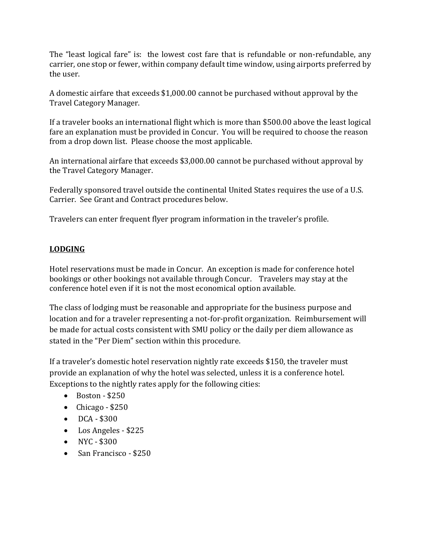The "least logical fare" is: the lowest cost fare that is refundable or non-refundable, any carrier, one stop or fewer, within company default time window, using airports preferred by the user.

A domestic airfare that exceeds \$1,000.00 cannot be purchased without approval by the Travel Category Manager.

If a traveler books an international flight which is more than \$500.00 above the least logical fare an explanation must be provided in Concur. You will be required to choose the reason from a drop down list. Please choose the most applicable.

An international airfare that exceeds \$3,000.00 cannot be purchased without approval by the Travel Category Manager.

Federally sponsored travel outside the continental United States requires the use of a U.S. Carrier. See Grant and Contract procedures below.

Travelers can enter frequent flyer program information in the traveler's profile.

# **LODGING**

Hotel reservations must be made in Concur. An exception is made for conference hotel bookings or other bookings not available through Concur. Travelers may stay at the conference hotel even if it is not the most economical option available.

The class of lodging must be reasonable and appropriate for the business purpose and location and for a traveler representing a not-for-profit organization. Reimbursement will be made for actual costs consistent with SMU policy or the daily per diem allowance as stated in the "Per Diem" section within this procedure.

If a traveler's domestic hotel reservation nightly rate exceeds \$150, the traveler must provide an explanation of why the hotel was selected, unless it is a conference hotel. Exceptions to the nightly rates apply for the following cities:

- $\bullet$  Boston \$250
- Chicago  $$250$
- $\bullet$  DCA \$300
- Los Angeles \$225
- $\bullet$  NYC \$300
- San Francisco \$250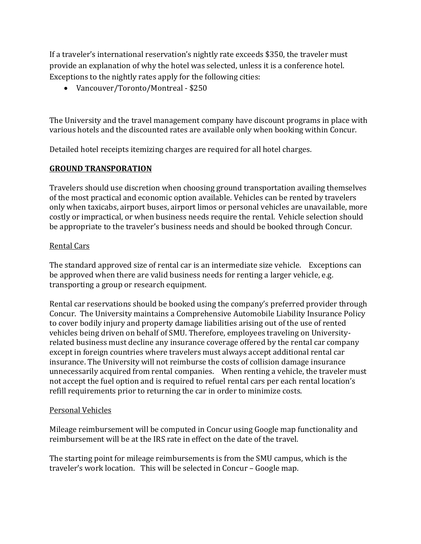If a traveler's international reservation's nightly rate exceeds \$350, the traveler must provide an explanation of why the hotel was selected, unless it is a conference hotel. Exceptions to the nightly rates apply for the following cities:

Vancouver/Toronto/Montreal - \$250

The University and the travel management company have discount programs in place with various hotels and the discounted rates are available only when booking within Concur.

Detailed hotel receipts itemizing charges are required for all hotel charges.

#### **GROUND TRANSPORATION**

Travelers should use discretion when choosing ground transportation availing themselves of the most practical and economic option available. Vehicles can be rented by travelers only when taxicabs, airport buses, airport limos or personal vehicles are unavailable, more costly or impractical, or when business needs require the rental. Vehicle selection should be appropriate to the traveler's business needs and should be booked through Concur.

#### Rental Cars

The standard approved size of rental car is an intermediate size vehicle. Exceptions can be approved when there are valid business needs for renting a larger vehicle, e.g. transporting a group or research equipment.

Rental car reservations should be booked using the company's preferred provider through Concur. The University maintains a Comprehensive Automobile Liability Insurance Policy to cover bodily injury and property damage liabilities arising out of the use of rented vehicles being driven on behalf of SMU. Therefore, employees traveling on Universityrelated business must decline any insurance coverage offered by the rental car company except in foreign countries where travelers must always accept additional rental car insurance. The University will not reimburse the costs of collision damage insurance unnecessarily acquired from rental companies. When renting a vehicle, the traveler must not accept the fuel option and is required to refuel rental cars per each rental location's refill requirements prior to returning the car in order to minimize costs.

#### Personal Vehicles

Mileage reimbursement will be computed in Concur using Google map functionality and reimbursement will be at the IRS rate in effect on the date of the travel.

The starting point for mileage reimbursements is from the SMU campus, which is the traveler's work location. This will be selected in Concur – Google map.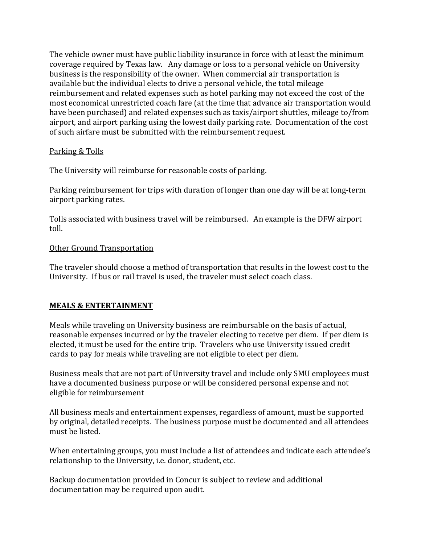The vehicle owner must have public liability insurance in force with at least the minimum coverage required by Texas law. Any damage or loss to a personal vehicle on University business is the responsibility of the owner. When commercial air transportation is available but the individual elects to drive a personal vehicle, the total mileage reimbursement and related expenses such as hotel parking may not exceed the cost of the most economical unrestricted coach fare (at the time that advance air transportation would have been purchased) and related expenses such as taxis/airport shuttles, mileage to/from airport, and airport parking using the lowest daily parking rate. Documentation of the cost of such airfare must be submitted with the reimbursement request.

#### Parking & Tolls

The University will reimburse for reasonable costs of parking.

Parking reimbursement for trips with duration of longer than one day will be at long-term airport parking rates.

Tolls associated with business travel will be reimbursed. An example is the DFW airport toll.

#### Other Ground Transportation

The traveler should choose a method of transportation that results in the lowest cost to the University. If bus or rail travel is used, the traveler must select coach class.

#### **MEALS & ENTERTAINMENT**

Meals while traveling on University business are reimbursable on the basis of actual, reasonable expenses incurred or by the traveler electing to receive per diem. If per diem is elected, it must be used for the entire trip. Travelers who use University issued credit cards to pay for meals while traveling are not eligible to elect per diem.

Business meals that are not part of University travel and include only SMU employees must have a documented business purpose or will be considered personal expense and not eligible for reimbursement

All business meals and entertainment expenses, regardless of amount, must be supported by original, detailed receipts. The business purpose must be documented and all attendees must be listed.

When entertaining groups, you must include a list of attendees and indicate each attendee's relationship to the University, i.e. donor, student, etc.

Backup documentation provided in Concur is subject to review and additional documentation may be required upon audit.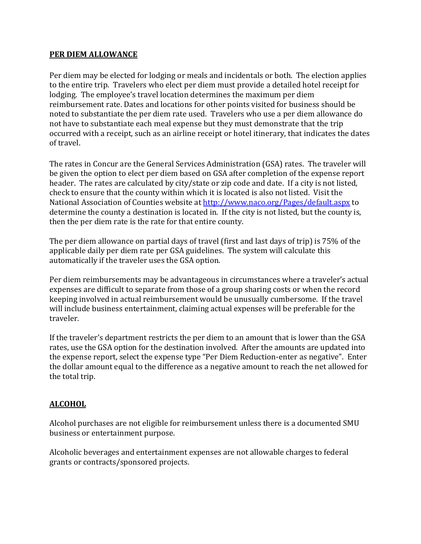#### **PER DIEM ALLOWANCE**

Per diem may be elected for lodging or meals and incidentals or both. The election applies to the entire trip. Travelers who elect per diem must provide a detailed hotel receipt for lodging. The employee's travel location determines the maximum per diem reimbursement rate. Dates and locations for other points visited for business should be noted to substantiate the per diem rate used. Travelers who use a per diem allowance do not have to substantiate each meal expense but they must demonstrate that the trip occurred with a receipt, such as an airline receipt or hotel itinerary, that indicates the dates of travel.

The rates in Concur are the General Services Administration (GSA) rates. The traveler will be given the option to elect per diem based on GSA after completion of the expense report header. The rates are calculated by city/state or zip code and date. If a city is not listed, check to ensure that the county within which it is located is also not listed. Visit the National Association of Counties website at<http://www.naco.org/Pages/default.aspx> to determine the county a destination is located in. If the city is not listed, but the county is, then the per diem rate is the rate for that entire county.

The per diem allowance on partial days of travel (first and last days of trip) is 75% of the applicable daily per diem rate per GSA guidelines. The system will calculate this automatically if the traveler uses the GSA option.

Per diem reimbursements may be advantageous in circumstances where a traveler's actual expenses are difficult to separate from those of a group sharing costs or when the record keeping involved in actual reimbursement would be unusually cumbersome. If the travel will include business entertainment, claiming actual expenses will be preferable for the traveler.

If the traveler's department restricts the per diem to an amount that is lower than the GSA rates, use the GSA option for the destination involved. After the amounts are updated into the expense report, select the expense type "Per Diem Reduction-enter as negative". Enter the dollar amount equal to the difference as a negative amount to reach the net allowed for the total trip.

## **ALCOHOL**

Alcohol purchases are not eligible for reimbursement unless there is a documented SMU business or entertainment purpose.

Alcoholic beverages and entertainment expenses are not allowable charges to federal grants or contracts/sponsored projects.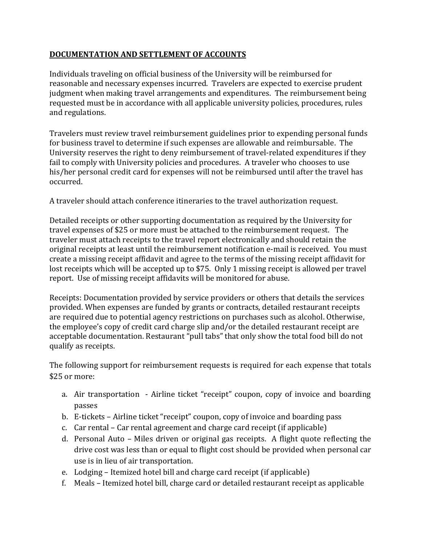## **DOCUMENTATION AND SETTLEMENT OF ACCOUNTS**

Individuals traveling on official business of the University will be reimbursed for reasonable and necessary expenses incurred. Travelers are expected to exercise prudent judgment when making travel arrangements and expenditures. The reimbursement being requested must be in accordance with all applicable university policies, procedures, rules and regulations.

Travelers must review travel reimbursement guidelines prior to expending personal funds for business travel to determine if such expenses are allowable and reimbursable. The University reserves the right to deny reimbursement of travel-related expenditures if they fail to comply with University policies and procedures. A traveler who chooses to use his/her personal credit card for expenses will not be reimbursed until after the travel has occurred.

A traveler should attach conference itineraries to the travel authorization request.

Detailed receipts or other supporting documentation as required by the University for travel expenses of \$25 or more must be attached to the reimbursement request. The traveler must attach receipts to the travel report electronically and should retain the original receipts at least until the reimbursement notification e-mail is received. You must create a missing receipt affidavit and agree to the terms of the missing receipt affidavit for lost receipts which will be accepted up to \$75. Only 1 missing receipt is allowed per travel report. Use of missing receipt affidavits will be monitored for abuse.

Receipts: Documentation provided by service providers or others that details the services provided. When expenses are funded by grants or contracts, detailed restaurant receipts are required due to potential agency restrictions on purchases such as alcohol. Otherwise, the employee's copy of credit card charge slip and/or the detailed restaurant receipt are acceptable documentation. Restaurant "pull tabs" that only show the total food bill do not qualify as receipts.

The following support for reimbursement requests is required for each expense that totals \$25 or more:

- a. Air transportation Airline ticket "receipt" coupon, copy of invoice and boarding passes
- b. E-tickets Airline ticket "receipt" coupon, copy of invoice and boarding pass
- c. Car rental Car rental agreement and charge card receipt (if applicable)
- d. Personal Auto Miles driven or original gas receipts. A flight quote reflecting the drive cost was less than or equal to flight cost should be provided when personal car use is in lieu of air transportation.
- e. Lodging Itemized hotel bill and charge card receipt (if applicable)
- f. Meals Itemized hotel bill, charge card or detailed restaurant receipt as applicable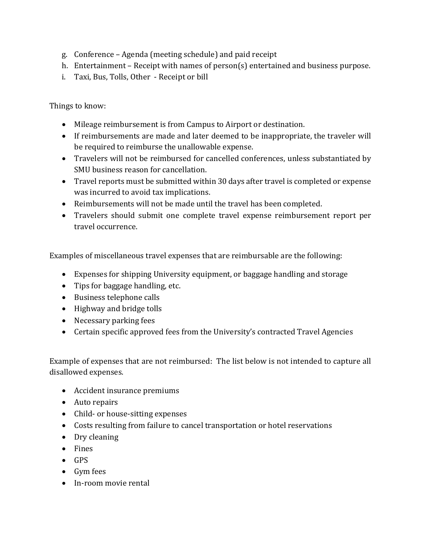- g. Conference Agenda (meeting schedule) and paid receipt
- h. Entertainment Receipt with names of person(s) entertained and business purpose.
- i. Taxi, Bus, Tolls, Other Receipt or bill

Things to know:

- Mileage reimbursement is from Campus to Airport or destination.
- If reimbursements are made and later deemed to be inappropriate, the traveler will be required to reimburse the unallowable expense.
- Travelers will not be reimbursed for cancelled conferences, unless substantiated by SMU business reason for cancellation.
- Travel reports must be submitted within 30 days after travel is completed or expense was incurred to avoid tax implications.
- Reimbursements will not be made until the travel has been completed.
- Travelers should submit one complete travel expense reimbursement report per travel occurrence.

Examples of miscellaneous travel expenses that are reimbursable are the following:

- Expenses for shipping University equipment, or baggage handling and storage
- Tips for baggage handling, etc.
- Business telephone calls
- Highway and bridge tolls
- Necessary parking fees
- Certain specific approved fees from the University's contracted Travel Agencies

Example of expenses that are not reimbursed: The list below is not intended to capture all disallowed expenses.

- Accident insurance premiums
- Auto repairs
- Child- or house-sitting expenses
- Costs resulting from failure to cancel transportation or hotel reservations
- Dry cleaning
- Fines
- $-$  GPS
- Gym fees
- In-room movie rental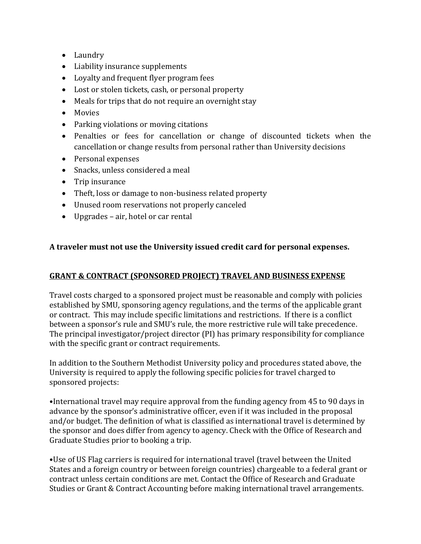- Laundry
- Liability insurance supplements
- Loyalty and frequent flyer program fees
- Lost or stolen tickets, cash, or personal property
- Meals for trips that do not require an overnight stay
- Movies
- Parking violations or moving citations
- Penalties or fees for cancellation or change of discounted tickets when the cancellation or change results from personal rather than University decisions
- Personal expenses
- Snacks, unless considered a meal
- Trip insurance
- Theft, loss or damage to non-business related property
- Unused room reservations not properly canceled
- Upgrades air, hotel or car rental

## **A traveler must not use the University issued credit card for personal expenses.**

## **GRANT & CONTRACT (SPONSORED PROJECT) TRAVEL AND BUSINESS EXPENSE**

Travel costs charged to a sponsored project must be reasonable and comply with policies established by SMU, sponsoring agency regulations, and the terms of the applicable grant or contract. This may include specific limitations and restrictions. If there is a conflict between a sponsor's rule and SMU's rule, the more restrictive rule will take precedence. The principal investigator/project director (PI) has primary responsibility for compliance with the specific grant or contract requirements.

In addition to the Southern Methodist University policy and procedures stated above, the University is required to apply the following specific policies for travel charged to sponsored projects:

•International travel may require approval from the funding agency from 45 to 90 days in advance by the sponsor's administrative officer, even if it was included in the proposal and/or budget. The definition of what is classified as international travel is determined by the sponsor and does differ from agency to agency. Check with the Office of Research and Graduate Studies prior to booking a trip.

•Use of US Flag carriers is required for international travel (travel between the United States and a foreign country or between foreign countries) chargeable to a federal grant or contract unless certain conditions are met. Contact the Office of Research and Graduate Studies or Grant & Contract Accounting before making international travel arrangements.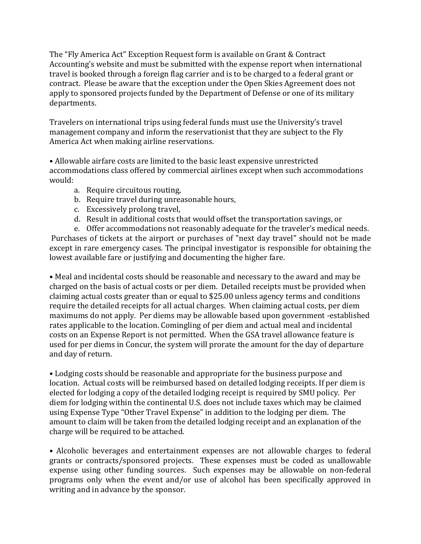The "Fly America Act" Exception Request form is available on Grant & Contract Accounting's website and must be submitted with the expense report when international travel is booked through a foreign flag carrier and is to be charged to a federal grant or contract. Please be aware that the exception under the Open Skies Agreement does not apply to sponsored projects funded by the Department of Defense or one of its military departments.

Travelers on international trips using federal funds must use the University's travel management company and inform the reservationist that they are subject to the Fly America Act when making airline reservations.

• Allowable airfare costs are limited to the basic least expensive unrestricted accommodations class offered by commercial airlines except when such accommodations would:

- a. Require circuitous routing,
- b. Require travel during unreasonable hours,
- c. Excessively prolong travel,
- d. Result in additional costs that would offset the transportation savings, or

e. Offer accommodations not reasonably adequate for the traveler's medical needs. Purchases of tickets at the airport or purchases of "next day travel" should not be made except in rare emergency cases. The principal investigator is responsible for obtaining the lowest available fare or justifying and documenting the higher fare.

• Meal and incidental costs should be reasonable and necessary to the award and may be charged on the basis of actual costs or per diem. Detailed receipts must be provided when claiming actual costs greater than or equal to \$25.00 unless agency terms and conditions require the detailed receipts for all actual charges. When claiming actual costs, per diem maximums do not apply. Per diems may be allowable based upon government -established rates applicable to the location. Comingling of per diem and actual meal and incidental costs on an Expense Report is not permitted. When the GSA travel allowance feature is used for per diems in Concur, the system will prorate the amount for the day of departure and day of return.

• Lodging costs should be reasonable and appropriate for the business purpose and location. Actual costs will be reimbursed based on detailed lodging receipts. If per diem is elected for lodging a copy of the detailed lodging receipt is required by SMU policy. Per diem for lodging within the continental U.S. does not include taxes which may be claimed using Expense Type "Other Travel Expense" in addition to the lodging per diem. The amount to claim will be taken from the detailed lodging receipt and an explanation of the charge will be required to be attached.

• Alcoholic beverages and entertainment expenses are not allowable charges to federal grants or contracts/sponsored projects. These expenses must be coded as unallowable expense using other funding sources. Such expenses may be allowable on non-federal programs only when the event and/or use of alcohol has been specifically approved in writing and in advance by the sponsor.